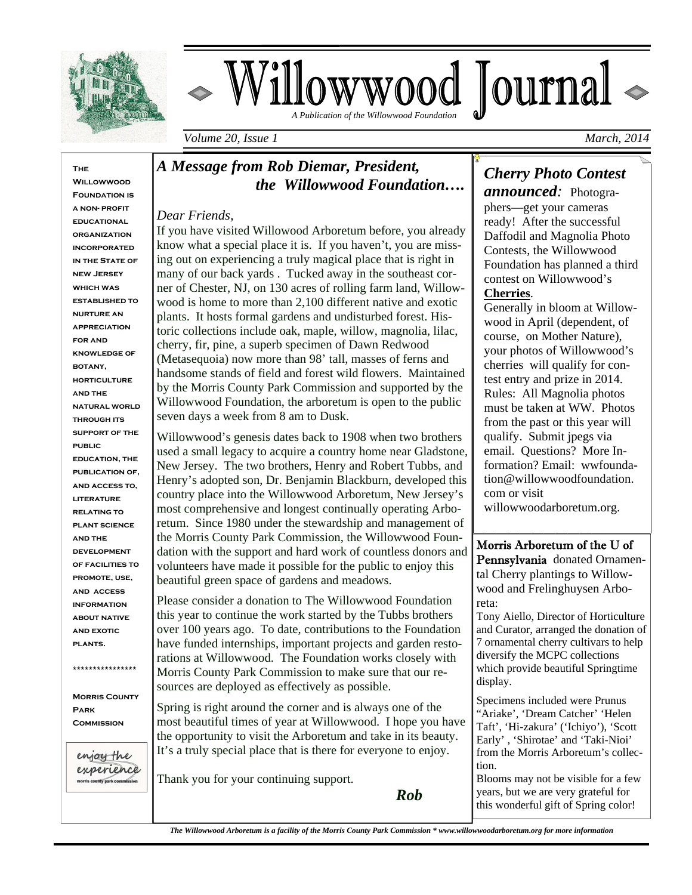

# owwood Journal  *A Publication of the Willowwood Foundation*

*Volume 20, Issue 1* March, 2014 *March, 2014 March, 2014* 

**The Willowwood FOUNDATION IS a non- profit educational organization incorporated in the State of new Jersey which was established to nurture an appreciation for and knowledge of botany, horticulture and the natural world through its support of the public education, the publication of, and access to, literature relating to plant science and the development of facilities to promote, use, and access information about native and exotic plants. \*\*\*\*\*\*\*\*\*\*\*\*\*\*\*\*** 

**Morris County Park Commission** 

enjoy the experience unty park co

L

### *A Message from Rob Diemar, President, the Willowwood Foundation….*

#### *Dear Friends,*

If you have visited Willowood Arboretum before, you already know what a special place it is. If you haven't, you are missing out on experiencing a truly magical place that is right in many of our back yards . Tucked away in the southeast corner of Chester, NJ, on 130 acres of rolling farm land, Willowwood is home to more than 2,100 different native and exotic plants. It hosts formal gardens and undisturbed forest. Historic collections include oak, maple, willow, magnolia, lilac, cherry, fir, pine, a superb specimen of Dawn Redwood (Metasequoia) now more than 98' tall, masses of ferns and handsome stands of field and forest wild flowers. Maintained by the Morris County Park Commission and supported by the Willowwood Foundation, the arboretum is open to the public seven days a week from 8 am to Dusk.

Willowwood's genesis dates back to 1908 when two brothers used a small legacy to acquire a country home near Gladstone, New Jersey. The two brothers, Henry and Robert Tubbs, and Henry's adopted son, Dr. Benjamin Blackburn, developed this country place into the Willowwood Arboretum, New Jersey's most comprehensive and longest continually operating Arboretum. Since 1980 under the stewardship and management of the Morris County Park Commission, the Willowwood Foundation with the support and hard work of countless donors and volunteers have made it possible for the public to enjoy this beautiful green space of gardens and meadows.

Please consider a donation to The Willowwood Foundation this year to continue the work started by the Tubbs brothers over 100 years ago. To date, contributions to the Foundation have funded internships, important projects and garden restorations at Willowwood. The Foundation works closely with Morris County Park Commission to make sure that our resources are deployed as effectively as possible.

Spring is right around the corner and is always one of the most beautiful times of year at Willowwood. I hope you have the opportunity to visit the Arboretum and take in its beauty. It's a truly special place that is there for everyone to enjoy.

Thank you for your continuing support.

*Rob*

*Cherry Photo Contest announced:* Photogra-

phers—get your cameras ready! After the successful Daffodil and Magnolia Photo Contests, the Willowwood Foundation has planned a third contest on Willowwood's **Cherries**.

Generally in bloom at Willowwood in April (dependent, of course, on Mother Nature), your photos of Willowwood's cherries will qualify for contest entry and prize in 2014. Rules: All Magnolia photos must be taken at WW. Photos from the past or this year will qualify. Submit jpegs via email. Questions? More Information? Email: wwfoundation@willowwoodfoundation. com or visit willowwoodarboretum.org.

#### Morris Arboretum of the U of

Pennsylvania donated Ornamental Cherry plantings to Willowwood and Frelinghuysen Arboreta:

Tony Aiello, Director of Horticulture and Curator, arranged the donation of 7 ornamental cherry cultivars to help diversify the MCPC collections which provide beautiful Springtime display.

Specimens included were Prunus "Ariake', 'Dream Catcher' 'Helen Taft', 'Hi-zakura' ('Ichiyo'), 'Scott Early' , 'Shirotae' and 'Taki-Nioi' from the Morris Arboretum's collection.

Blooms may not be visible for a few years, but we are very grateful for this wonderful gift of Spring color!

 *The Willowwood Arboretum is a facility of the Morris County Park Commission \* www.willowwoodarboretum.org for more information*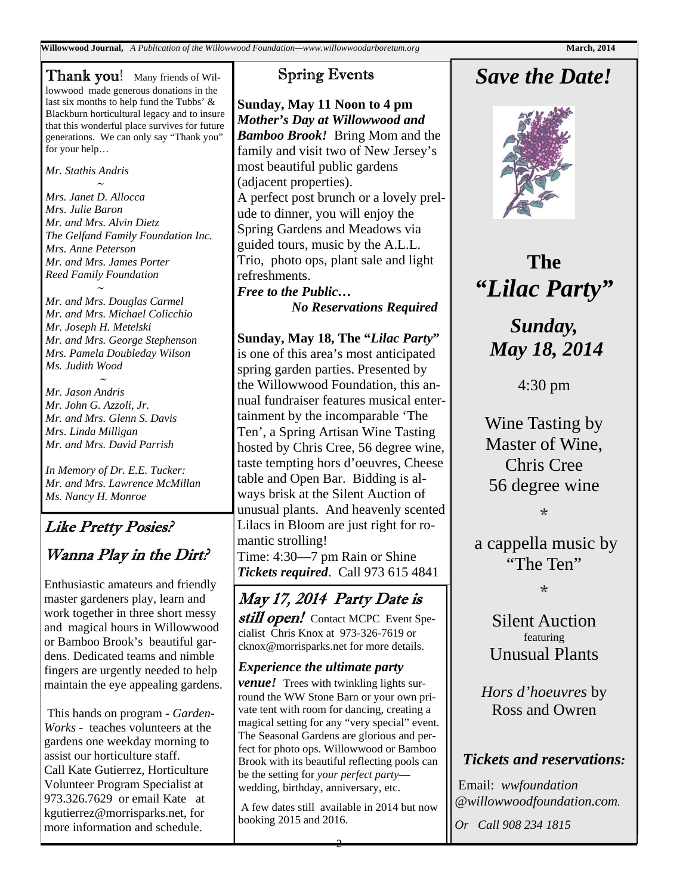**Willowwood Journal,** *A Publication of the Willowwood Foundation—www.willowwoodarboretum.org* **March, 2014 March, 2014** 

**Thank you!** Many friends of Willowwood made generous donations in the last six months to help fund the Tubbs' & Blackburn horticultural legacy and to insure that this wonderful place survives for future generations. We can only say "Thank you" for your help…

*Mr. Stathis Andris <u>∼</u>* 

*Mrs. Janet D. Allocca Mrs. Julie Baron Mr. and Mrs. Alvin Dietz The Gelfand Family Foundation Inc. Mrs. Anne Peterson Mr. and Mrs. James Porter Reed Family Foundation* 

*<u>∼</u> ★ Mr. and Mrs. Douglas Carmel Mr. and Mrs. Michael Colicchio Mr. Joseph H. Metelski Mr. and Mrs. George Stephenson Mrs. Pamela Doubleday Wilson Ms. Judith Wood* 

 $\sim$   $\sim$ *Mr. Jason Andris Mr. John G. Azzoli, Jr. Mr. and Mrs. Glenn S. Davis Mrs. Linda Milligan Mr. and Mrs. David Parrish* 

*In Memory of Dr. E.E. Tucker: Mr. and Mrs. Lawrence McMillan Ms. Nancy H. Monroe* 

## Like Pretty Posies? Wanna Play in the Dirt?

Enthusiastic amateurs and friendly master gardeners play, learn and work together in three short messy and magical hours in Willowwood or Bamboo Brook's beautiful gardens. Dedicated teams and nimble fingers are urgently needed to help maintain the eye appealing gardens.

 This hands on program - *Garden-Works -* teaches volunteers at the gardens one weekday morning to assist our horticulture staff. Call Kate Gutierrez, Horticulture Volunteer Program Specialist at 973.326.7629 or email Kate at kgutierrez@morrisparks.net, for more information and schedule.

### Spring Events

**Sunday, May 11 Noon to 4 pm**  *Mother's Day at Willowwood and Bamboo Brook!* Bring Mom and the family and visit two of New Jersey's most beautiful public gardens (adjacent properties). A perfect post brunch or a lovely prelude to dinner, you will enjoy the Spring Gardens and Meadows via guided tours, music by the A.L.L. Trio, photo ops, plant sale and light refreshments. *Free to the Public…* 

 *No Reservations Required* 

**Sunday, May 18, The "***Lilac Party***"**  is one of this area's most anticipated spring garden parties. Presented by the Willowwood Foundation, this annual fundraiser features musical entertainment by the incomparable 'The Ten', a Spring Artisan Wine Tasting hosted by Chris Cree, 56 degree wine, taste tempting hors d'oeuvres, Cheese table and Open Bar. Bidding is always brisk at the Silent Auction of unusual plants. And heavenly scented Lilacs in Bloom are just right for romantic strolling! Time: 4:30—7 pm Rain or Shine *Tickets required*. Call 973 615 4841

## May 17, 2014 Party Date is

still open! Contact MCPC Event Specialist Chris Knox at 973-326-7619 or cknox@morrisparks.net for more details.

#### *Experience the ultimate party*

*venue!* Trees with twinkling lights surround the WW Stone Barn or your own private tent with room for dancing, creating a magical setting for any "very special" event. The Seasonal Gardens are glorious and perfect for photo ops. Willowwood or Bamboo Brook with its beautiful reflecting pools can be the setting for *your perfect party* wedding, birthday, anniversary, etc.

 A few dates still available in 2014 but now booking 2015 and 2016.

## *Save the Date!*



## **The**  *"Lilac Party"*

*Sunday, May 18, 2014* 

4:30 pm

Wine Tasting by Master of Wine, Chris Cree 56 degree wine

\*

a cappella music by "The Ten"

 $\mathcal{L}$ 

Silent Auction featuring Unusual Plants

*Hors d'hoeuvres* by Ross and Owren

### *Tickets and reservations:*

 Email: *wwfoundation @willowwoodfoundation.com.* 

*Or Call 908 234 1815*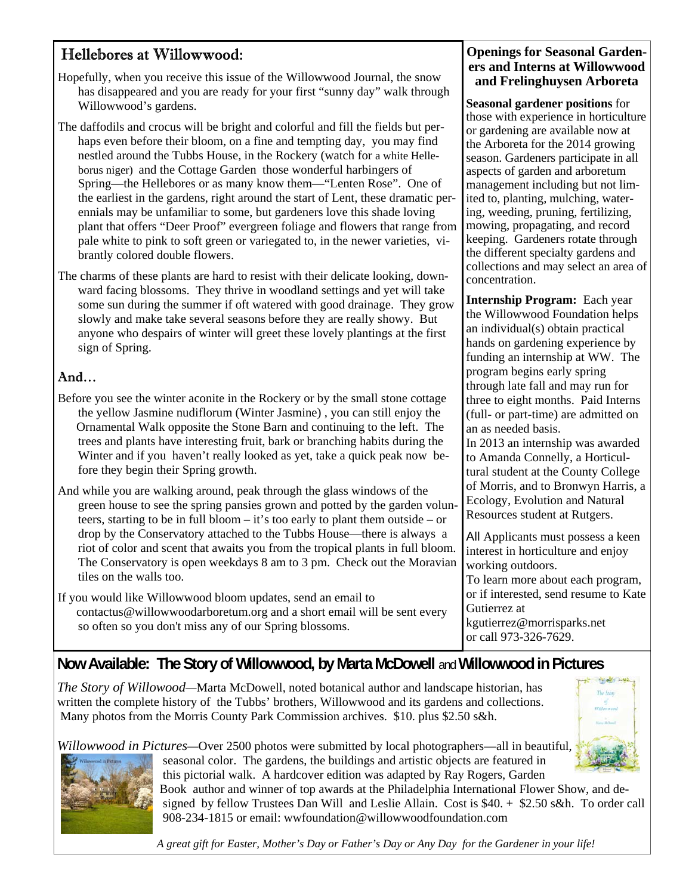### Hellebores at Willowwood:

- Hopefully, when you receive this issue of the Willowwood Journal, the snow has disappeared and you are ready for your first "sunny day" walk through Willowwood's gardens.
- The daffodils and crocus will be bright and colorful and fill the fields but perhaps even before their bloom, on a fine and tempting day, you may find nestled around the Tubbs House, in the Rockery (watch for a white Helleborus niger) and the Cottage Garden those wonderful harbingers of Spring—the Hellebores or as many know them—"Lenten Rose". One of the earliest in the gardens, right around the start of Lent, these dramatic perennials may be unfamiliar to some, but gardeners love this shade loving plant that offers "Deer Proof" evergreen foliage and flowers that range from pale white to pink to soft green or variegated to, in the newer varieties, vibrantly colored double flowers.
- The charms of these plants are hard to resist with their delicate looking, downward facing blossoms. They thrive in woodland settings and yet will take some sun during the summer if oft watered with good drainage. They grow slowly and make take several seasons before they are really showy. But anyone who despairs of winter will greet these lovely plantings at the first sign of Spring.

### And…

- Before you see the winter aconite in the Rockery or by the small stone cottage the yellow Jasmine nudiflorum (Winter Jasmine) , you can still enjoy the Ornamental Walk opposite the Stone Barn and continuing to the left. The trees and plants have interesting fruit, bark or branching habits during the Winter and if you haven't really looked as yet, take a quick peak now before they begin their Spring growth.
- And while you are walking around, peak through the glass windows of the green house to see the spring pansies grown and potted by the garden volunteers, starting to be in full bloom – it's too early to plant them outside – or drop by the Conservatory attached to the Tubbs House—there is always a riot of color and scent that awaits you from the tropical plants in full bloom. The Conservatory is open weekdays 8 am to 3 pm. Check out the Moravian tiles on the walls too.

If you would like Willowwood bloom updates, send an email to contactus@willowwoodarboretum.org and a short email will be sent every so often so you don't miss any of our Spring blossoms.

#### **Openings for Seasonal Gardeners and Interns at Willowwood and Frelinghuysen Arboreta**

**Seasonal gardener positions** for those with experience in horticulture or gardening are available now at the Arboreta for the 2014 growing season. Gardeners participate in all aspects of garden and arboretum management including but not limited to, planting, mulching, watering, weeding, pruning, fertilizing, mowing, propagating, and record keeping. Gardeners rotate through the different specialty gardens and collections and may select an area of concentration.

**Internship Program:** Each year the Willowwood Foundation helps an individual(s) obtain practical hands on gardening experience by funding an internship at WW. The program begins early spring through late fall and may run for three to eight months. Paid Interns (full- or part-time) are admitted on an as needed basis.

In 2013 an internship was awarded to Amanda Connelly, a Horticultural student at the County College of Morris, and to Bronwyn Harris, a Ecology, Evolution and Natural Resources student at Rutgers.

All Applicants must possess a keen interest in horticulture and enjoy working outdoors.

To learn more about each program, or if interested, send resume to Kate Gutierrez at kgutierrez@morrisparks.net

or call 973-326-7629.

### **Now Available: The Story of Willowwood, by Marta McDowell** and **Willowwood in Pictures**

*The Story of Willowood—*Marta McDowell, noted botanical author and landscape historian, has written the complete history of the Tubbs' brothers, Willowwood and its gardens and collections. Many photos from the Morris County Park Commission archives. \$10. plus \$2.50 s&h.



*Willowwood in Pictures—*Over 2500 photos were submitted by local photographers—all in beautiful, seasonal color. The gardens, the buildings and artistic objects are featured in this pictorial walk. A hardcover edition was adapted by Ray Rogers, Garden

 Book author and winner of top awards at the Philadelphia International Flower Show, and de signed by fellow Trustees Dan Will and Leslie Allain. Cost is \$40. + \$2.50 s&h. To order call 908-234-1815 or email: wwfoundation@willowwoodfoundation.com

 *A great gift for Easter, Mother's Day or Father's Day or Any Day for the Gardener in your life!*